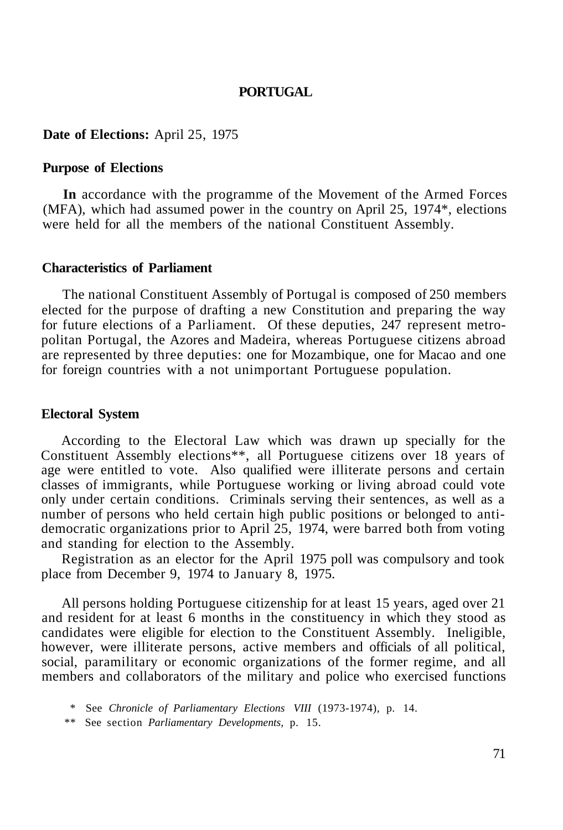# **PORTUGAL**

### **Date of Elections:** April 25, 1975

#### **Purpose of Elections**

**In** accordance with the programme of the Movement of the Armed Forces (MFA), which had assumed power in the country on April 25, 1974\*, elections were held for all the members of the national Constituent Assembly.

#### **Characteristics of Parliament**

The national Constituent Assembly of Portugal is composed of 250 members elected for the purpose of drafting a new Constitution and preparing the way for future elections of a Parliament. Of these deputies, 247 represent metropolitan Portugal, the Azores and Madeira, whereas Portuguese citizens abroad are represented by three deputies: one for Mozambique, one for Macao and one for foreign countries with a not unimportant Portuguese population.

### **Electoral System**

According to the Electoral Law which was drawn up specially for the Constituent Assembly elections\*\*, all Portuguese citizens over 18 years of age were entitled to vote. Also qualified were illiterate persons and certain classes of immigrants, while Portuguese working or living abroad could vote only under certain conditions. Criminals serving their sentences, as well as a number of persons who held certain high public positions or belonged to antidemocratic organizations prior to April 25, 1974, were barred both from voting and standing for election to the Assembly.

Registration as an elector for the April 1975 poll was compulsory and took place from December 9, 1974 to January 8, 1975.

All persons holding Portuguese citizenship for at least 15 years, aged over 21 and resident for at least 6 months in the constituency in which they stood as candidates were eligible for election to the Constituent Assembly. Ineligible, however, were illiterate persons, active members and officials of all political, social, paramilitary or economic organizations of the former regime, and all members and collaborators of the military and police who exercised functions

<sup>\*</sup> See *Chronicle of Parliamentary Elections VIII* (1973-1974), p. 14.

<sup>\*\*</sup> See section *Parliamentary Developments,* p. 15.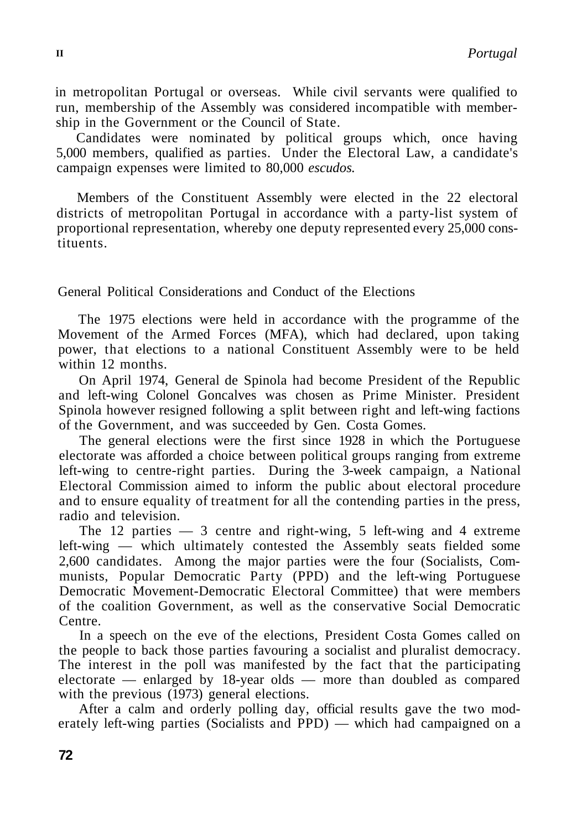in metropolitan Portugal or overseas. While civil servants were qualified to run, membership of the Assembly was considered incompatible with membership in the Government or the Council of State.

Candidates were nominated by political groups which, once having 5,000 members, qualified as parties. Under the Electoral Law, a candidate's campaign expenses were limited to 80,000 *escudos.* 

Members of the Constituent Assembly were elected in the 22 electoral districts of metropolitan Portugal in accordance with a party-list system of proportional representation, whereby one deputy represented every 25,000 constituents.

General Political Considerations and Conduct of the Elections

The 1975 elections were held in accordance with the programme of the Movement of the Armed Forces (MFA), which had declared, upon taking power, that elections to a national Constituent Assembly were to be held within 12 months.

On April 1974, General de Spinola had become President of the Republic and left-wing Colonel Goncalves was chosen as Prime Minister. President Spinola however resigned following a split between right and left-wing factions of the Government, and was succeeded by Gen. Costa Gomes.

The general elections were the first since 1928 in which the Portuguese electorate was afforded a choice between political groups ranging from extreme left-wing to centre-right parties. During the 3-week campaign, a National Electoral Commission aimed to inform the public about electoral procedure and to ensure equality of treatment for all the contending parties in the press, radio and television.

The 12 parties  $-3$  centre and right-wing, 5 left-wing and 4 extreme left-wing — which ultimately contested the Assembly seats fielded some 2,600 candidates. Among the major parties were the four (Socialists, Communists, Popular Democratic Party (PPD) and the left-wing Portuguese Democratic Movement-Democratic Electoral Committee) that were members of the coalition Government, as well as the conservative Social Democratic Centre.

In a speech on the eve of the elections, President Costa Gomes called on the people to back those parties favouring a socialist and pluralist democracy. The interest in the poll was manifested by the fact that the participating electorate — enlarged by 18-year olds — more than doubled as compared with the previous (1973) general elections.

After a calm and orderly polling day, official results gave the two moderately left-wing parties (Socialists and PPD) — which had campaigned on a